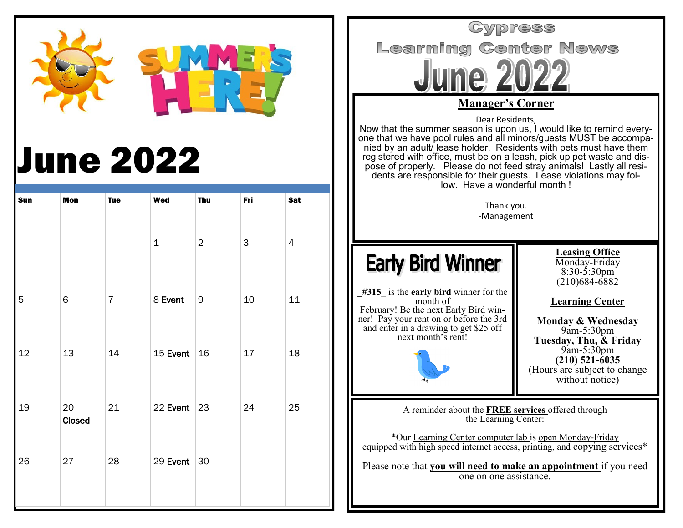

# June 2022

| Sun | Mon          | <b>Tue</b>     | Wed            | <b>Thu</b>     | Fri                       | Sat       |
|-----|--------------|----------------|----------------|----------------|---------------------------|-----------|
|     |              |                | $\mathbf 1$    | $\overline{2}$ | $\ensuremath{\mathsf{3}}$ | $\pmb{4}$ |
| 5   | $\mathsf 6$  | $\overline{7}$ | 8 Event        | 9              | $10\,$                    | $11\,$    |
| 12  | 13           | 14             | 15 Event $16$  |                | 17                        | 18        |
| 19  | 20<br>Closed | 21             | 22 Event $ 23$ |                | 24                        | 25        |
| 26  | $27\,$       | 28             | 29 Event 30    |                |                           |           |
|     |              |                |                |                |                           |           |

Cypress **Learning Center News Manager's Corner** Dear Residents, Now that the summer season is upon us, I would like to remind everyone that we have pool rules and all minors/guests MUST be accompanied by an adult/ lease holder. Residents with pets must have them registered with office, must be on a leash, pick up pet waste and dispose of properly. Please do not feed stray animals! Lastly all residents are responsible for their guests. Lease violations may follow. Have a wonderful month ! Thank you. -Management **Leasing Office Early Bird Winner** Monday-Friday 8:30-5:30pm (210)684-6882 **\_#315**\_ is the **early bird** winner for the month of **Learning Center** February! Be the next Early Bird winner! Pay your rent on or before the 3rd **Monday & Wednesday** and enter in a drawing to get \$25 off 9am-5:30pm next month's rent! **Tuesday, Thu, & Friday** 9am-5:30pm **(210) 521-6035** (Hours are subject to change without notice) A reminder about the **FREE services** offered through the Learning Center: \*Our Learning Center computer lab is open Monday-Friday equipped with high speed internet access, printing, and copying services\* Please note that **you will need to make an appointment** if you need one on one assistance.